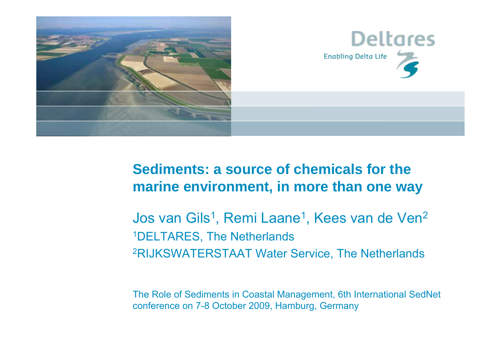

#### **Sediments: a source of chemicals for the marine environment, in more than one way**

Jos van Gils<sup>1</sup>, Remi Laane<sup>1</sup>, Kees van de Ven<sup>2</sup> 1DELTARES, The Netherlands 2RIJKSWATERSTAAT Water Service, The Netherlands

The Role of Sediments in Coastal Management, 6th International SedNet conference on 7-8 October 2009, Hamburg, Germany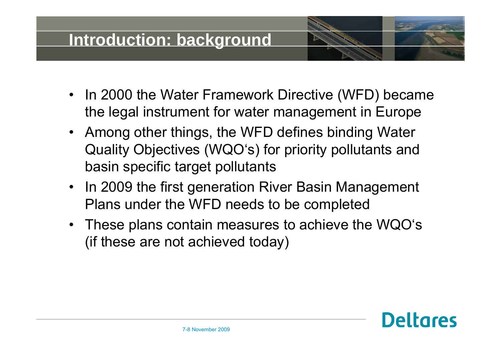#### **Introduction: background**

- In 2000 the Water Framework Directive (WFD) became the legal instrument for water management in Europe
- Among other things, the WFD defines binding Water Quality Objectives (WQO's) for priority pollutants and basin specific target pollutants
- $\bullet$  In 2009 the first generation River Basin Management Plans under the WFD needs to be completed
- These plans contain measures to achieve the WQO's (if these are not achieved today)

**Deltares**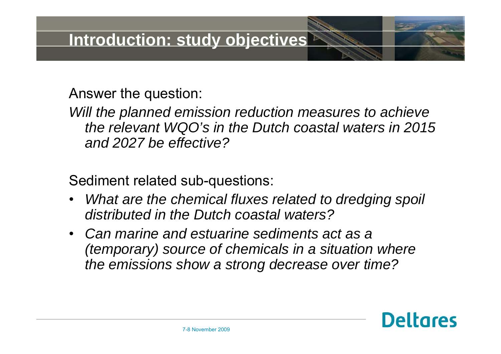Answer the question:

*Will the planned emission reduction measures to achieve the relevant WQO's in the Dutch coastal waters in 2015 and 2027 be effective?*

Sediment related sub-questions:

- • *What are the chemical fluxes related to dredging spoil distributed in the Dutch coastal waters?*
- $\bullet$  *Can marine and estuarine sediments act as a (temporary) source of chemicals in a situation where the emissions show a strong decrease over time?*

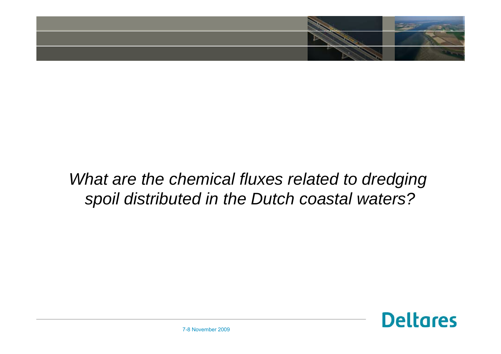

# *What are the chemical fluxes related to dredging spoil distributed in the Dutch coastal waters?*

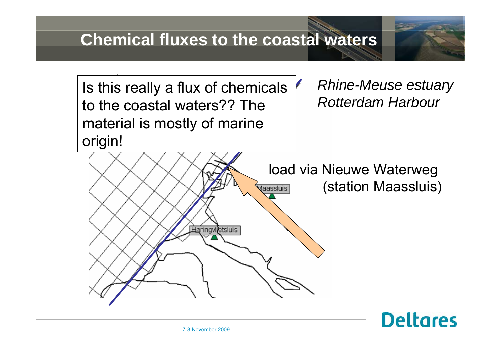#### **Chemical fluxes to the coastal waters**

*Rhine-Meuse estuary* Is this really a flux of chemicals *Rotterdam Harbour* to the coastal waters?? The wal<del>c</del>is: :<br>... material is mostly of marine origin!load via Nieuwe Waterweg (station Maassluis) **Maassluis Haringvijetsluis**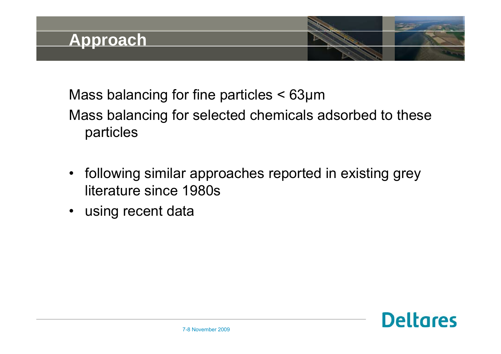

Mass balancing for fine particles < 63μ<sup>m</sup> Mass balancing for selected chemicals adsorbed to these particles

- $\bullet$  following similar approaches reported in existing grey literature since 1980s
- $\bullet$ using recent data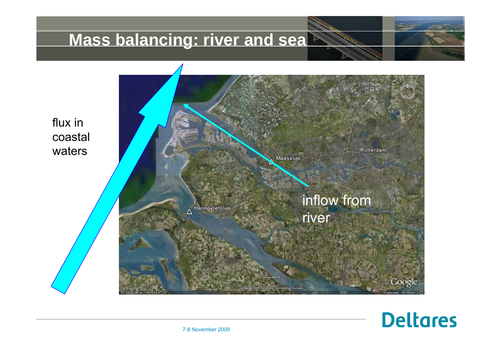# **Mass balancing: river and sea**



# **Deltares**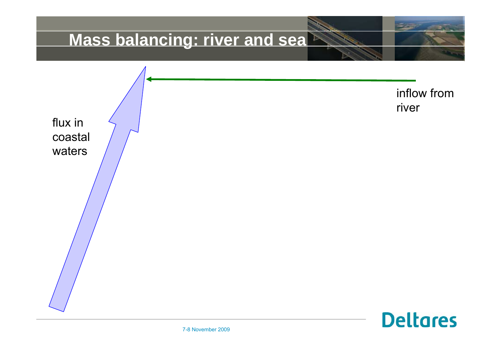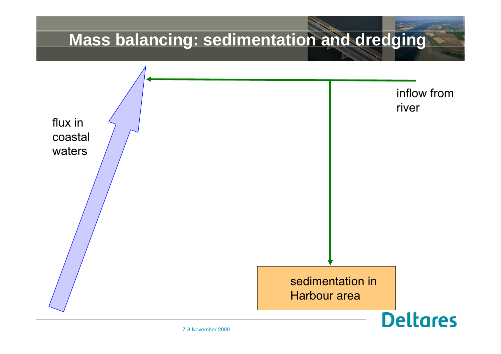# **Mass balancing: sedimentation and dredging**

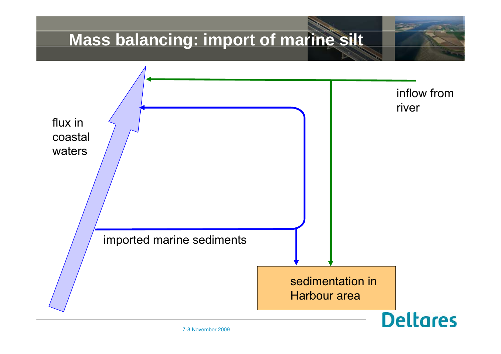# **Mass balancing: import of marine silt**

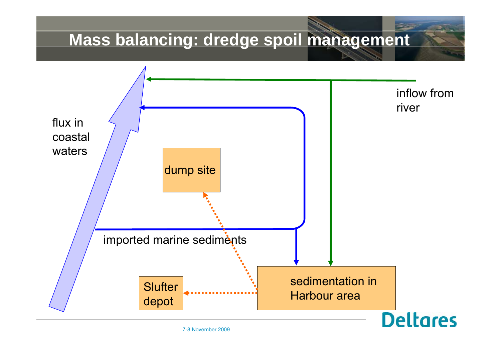# **Mass balancing: dredge spoil management**



7-8 November 2009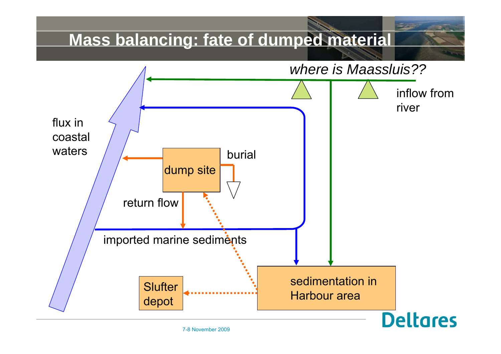# **Mass balancing: fate of dumped material**

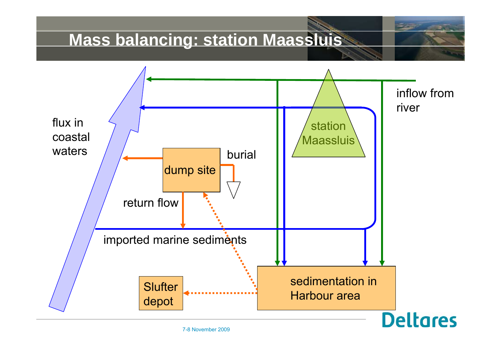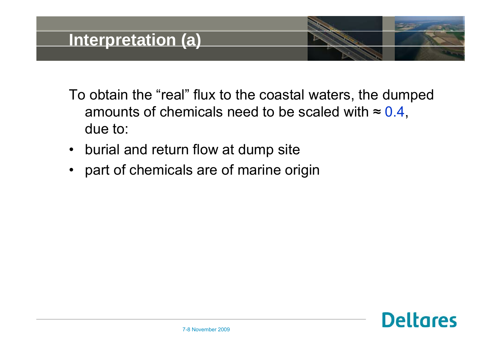To obtain the "real" flux to the coastal waters, the dumped amounts of chemicals need to be scaled with  $\approx 0.4,$ due to:

- •burial and return flow at dump site
- •part of chemicals are of marine origin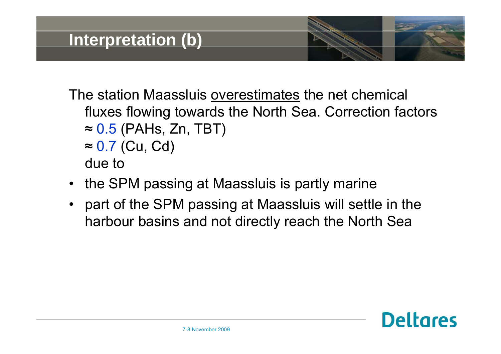- The station Maassluis overestimates the net chemical fluxes flowing towards the North Sea. Correction factors ≈ 0.5 (PAHs, Zn, TBT) ≈ 0.7 (Cu, Cd) due to
- •the SPM passing at Maassluis is partly marine
- • part of the SPM passing at Maassluis will settle in the harbour basins and not directly reach the North Sea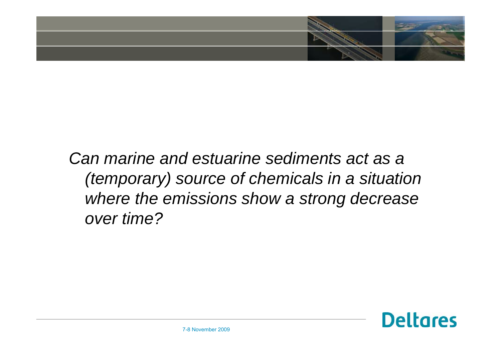

*Can marine and estuarine sediments act as a (temporary) source of chemicals in a situation where the emissions show a strong decrease over time?*

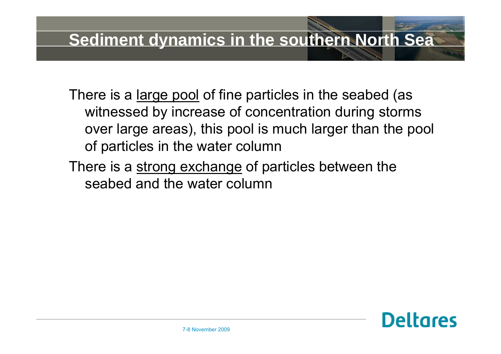### **Sediment dynamics in the southern North Sea**

There is a <u>large pool</u> of fine particles in the seabed (as witnessed by increase of concentration during storms over large areas), this pool is much larger than the pool of particles in the water column

There is a <u>strong exchange</u> of particles between the seabed and the water column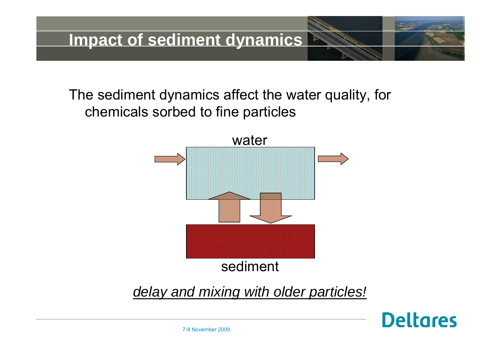The sediment dynamics affect the water quality, for chemicals sorbed to fine particles



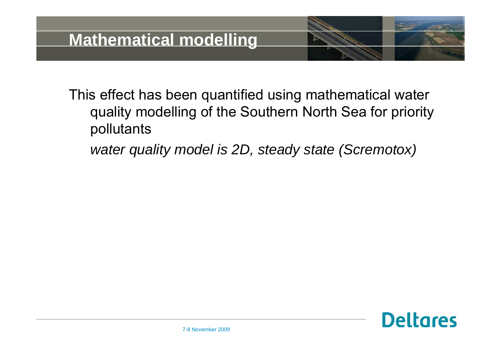This effect has been quantified using mathematical water quality modelling of the Southern North Sea for priority pollutants

*water quality model is 2D, steady state (Scremotox)*

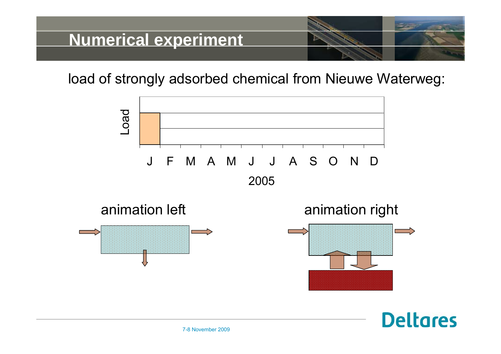load of strongly adsorbed chemical from Nieuwe Waterweg:



**Deltares** 

7-8 November 2009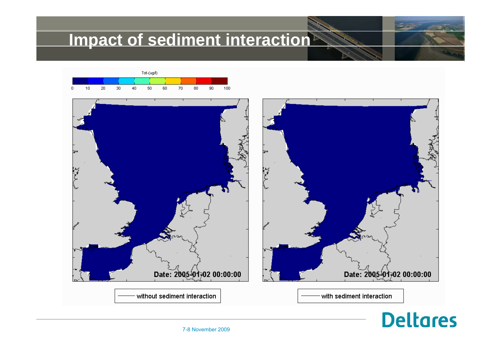## **Impact of sediment interaction**





with sediment interaction

**Deltares** 

without sediment interaction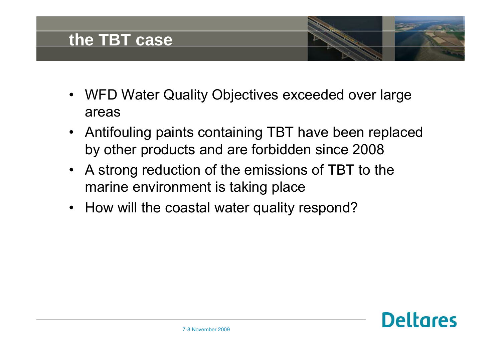#### **the TBT case**

- WFD Water Quality Objectives exceeded over large areas
- $\bullet$  Antifouling paints containing TBT have been replaced by other products and are forbidden since 2008
- A strong reduction of the emissions of TBT to the marine environment is taking place
- How will the coastal water quality respond?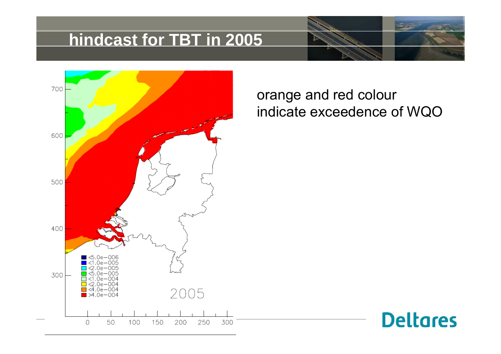#### **hindcast for TBT in 2005**



#### orange and red colour indicate exceedence of WQO

# **Deltares**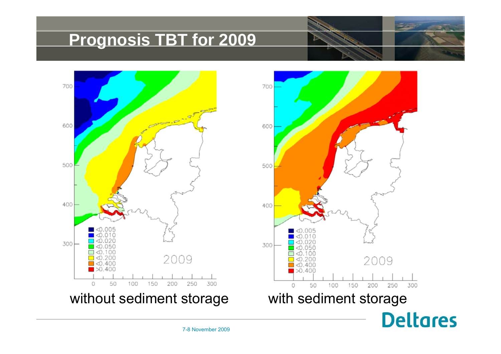#### **Prognosis TBT for 2009**





7-8 November 2009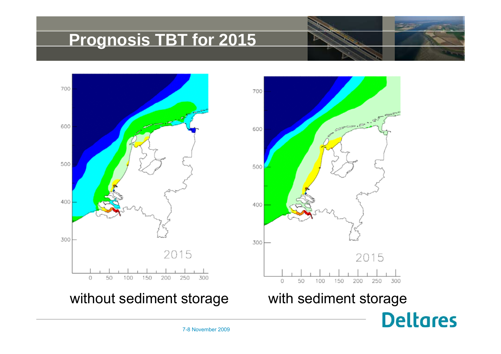#### **Prognosis TBT for 2015**



without sediment storage with sediment storage



**Deltares**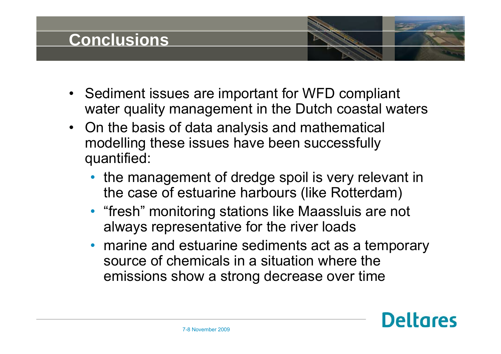### **Conclusions**

- Sediment issues are important for WFD compliant water quality management in the Dutch coastal waters
- $\bullet$  On the basis of data analysis and mathematical modelling these issues have been successfully quantified:
	- the management of dredge spoil is very relevant in the case of estuarine harbours (like Rotterdam)
	- "fresh" monitoring stations like Maassluis are not always representative for the river loads
	- marine and estuarine sediments act as a temporary source of chemicals in a situation where the emissions show a strong decrease over time